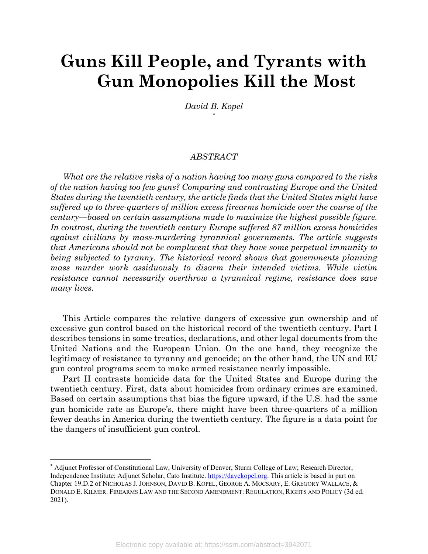# **Guns Kill People, and Tyrants with Gun Monopolies Kill the Most**

*David B. Kopel* [\\*](#page-0-0)

#### *ABSTRACT*

*What are the relative risks of a nation having too many guns compared to the risks of the nation having too few guns? Comparing and contrasting Europe and the United States during the twentieth century, the article finds that the United States might have suffered up to three-quarters of million excess firearms homicide over the course of the century—based on certain assumptions made to maximize the highest possible figure. In contrast, during the twentieth century Europe suffered 87 million excess homicides against civilians by mass-murdering tyrannical governments. The article suggests that Americans should not be complacent that they have some perpetual immunity to being subjected to tyranny. The historical record shows that governments planning mass murder work assiduously to disarm their intended victims. While victim resistance cannot necessarily overthrow a tyrannical regime, resistance does save many lives.*

This Article compares the relative dangers of excessive gun ownership and of excessive gun control based on the historical record of the twentieth century. Part I describes tensions in some treaties, declarations, and other legal documents from the United Nations and the European Union. On the one hand, they recognize the legitimacy of resistance to tyranny and genocide; on the other hand, the UN and EU gun control programs seem to make armed resistance nearly impossible.

Part II contrasts homicide data for the United States and Europe during the twentieth century. First, data about homicides from ordinary crimes are examined. Based on certain assumptions that bias the figure upward, if the U.S. had the same gun homicide rate as Europe's, there might have been three-quarters of a million fewer deaths in America during the twentieth century. The figure is a data point for the dangers of insufficient gun control.

<span id="page-0-0"></span><sup>\*</sup> Adjunct Professor of Constitutional Law, University of Denver, Sturm College of Law; Research Director, Independence Institute; Adjunct Scholar, Cato Institute[. https://davekopel.org.](https://davekopel.org/) This article is based in part on Chapter 19.D.2 of NICHOLAS J. JOHNSON, DAVID B. KOPEL, GEORGE A. MOCSARY, E. GREGORY WALLACE, & DONALD E. KILMER. FIREARMS LAW AND THE SECOND AMENDMENT: REGULATION, RIGHTS AND POLICY (3d ed. 2021).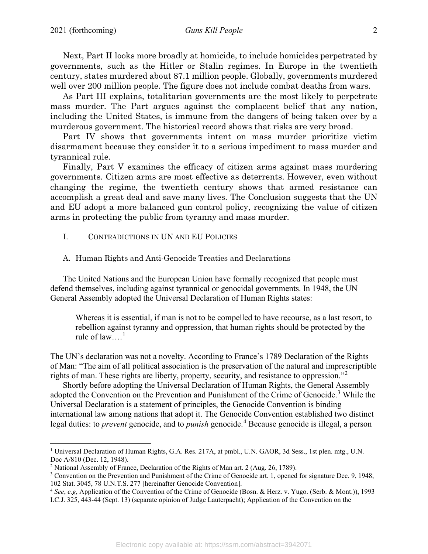Next, Part II looks more broadly at homicide, to include homicides perpetrated by governments, such as the Hitler or Stalin regimes. In Europe in the twentieth century, states murdered about 87.1 million people. Globally, governments murdered well over 200 million people. The figure does not include combat deaths from wars.

As Part III explains, totalitarian governments are the most likely to perpetrate mass murder. The Part argues against the complacent belief that any nation, including the United States, is immune from the dangers of being taken over by a murderous government. The historical record shows that risks are very broad.

Part IV shows that governments intent on mass murder prioritize victim disarmament because they consider it to a serious impediment to mass murder and tyrannical rule.

Finally, Part V examines the efficacy of citizen arms against mass murdering governments. Citizen arms are most effective as deterrents. However, even without changing the regime, the twentieth century shows that armed resistance can accomplish a great deal and save many lives. The Conclusion suggests that the UN and EU adopt a more balanced gun control policy, recognizing the value of citizen arms in protecting the public from tyranny and mass murder.

- I. CONTRADICTIONS IN UN AND EU POLICIES
- A. Human Rights and Anti-Genocide Treaties and Declarations

The United Nations and the European Union have formally recognized that people must defend themselves, including against tyrannical or genocidal governments. In 1948, the UN General Assembly adopted the Universal Declaration of Human Rights states:

Whereas it is essential, if man is not to be compelled to have recourse, as a last resort, to rebellion against tyranny and oppression, that human rights should be protected by the rule of  $law...$ <sup>[1](#page-1-0)</sup>

The UN's declaration was not a novelty. According to France's 1789 Declaration of the Rights of Man: "The aim of all political association is the preservation of the natural and imprescriptible rights of man. These rights are liberty, property, security, and resistance to oppression."[2](#page-1-1)

Shortly before adopting the Universal Declaration of Human Rights, the General Assembly adopted the Convention on the Prevention and Punishment of the Crime of Genocide.<sup>[3](#page-1-2)</sup> While the Universal Declaration is a statement of principles, the Genocide Convention is binding international law among nations that adopt it. The Genocide Convention established two distinct legal duties: to *prevent* genocide, and to *punish* genocide.<sup>[4](#page-1-3)</sup> Because genocide is illegal, a person

<span id="page-1-0"></span><sup>&</sup>lt;sup>1</sup> Universal Declaration of Human Rights, G.A. Res. 217A, at pmbl., U.N. GAOR, 3d Sess., 1st plen. mtg., U.N. Doc A/810 (Dec. 12, 1948).

<span id="page-1-1"></span><sup>2</sup> National Assembly of France, Declaration of the Rights of Man art. 2 (Aug. 26, 1789).

<span id="page-1-2"></span><sup>3</sup> Convention on the Prevention and Punishment of the Crime of Genocide art. 1, opened for signature Dec. 9, 1948, 102 Stat. 3045, 78 U.N.T.S. 277 [hereinafter Genocide Convention].

<span id="page-1-3"></span><sup>4</sup> *See*, *e.g*, Application of the Convention of the Crime of Genocide (Bosn. & Herz. v. Yugo. (Serb. & Mont.)), 1993 I.C.J. 325, 443-44 (Sept. 13) (separate opinion of Judge Lauterpacht); Application of the Convention on the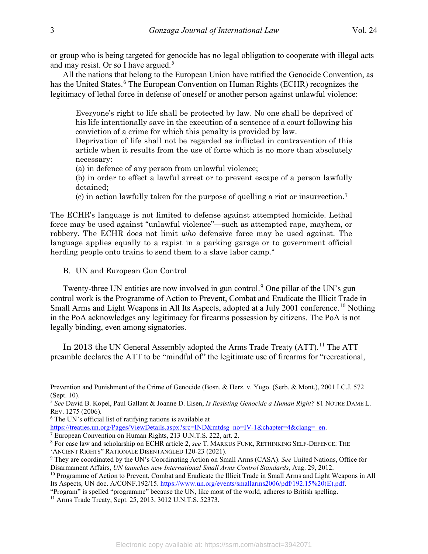or group who is being targeted for genocide has no legal obligation to cooperate with illegal acts and may resist. Or so I have argued.<sup>[5](#page-2-0)</sup>

All the nations that belong to the European Union have ratified the Genocide Convention, as has the United States.<sup>[6](#page-2-1)</sup> The European Convention on Human Rights (ECHR) recognizes the legitimacy of lethal force in defense of oneself or another person against unlawful violence:

Everyone's right to life shall be protected by law. No one shall be deprived of his life intentionally save in the execution of a sentence of a court following his conviction of a crime for which this penalty is provided by law.

Deprivation of life shall not be regarded as inflicted in contravention of this article when it results from the use of force which is no more than absolutely necessary:

(a) in defence of any person from unlawful violence;

(b) in order to effect a lawful arrest or to prevent escape of a person lawfully detained;

(c) in action lawfully taken for the purpose of quelling a riot or insurrection[.7](#page-2-2)

The ECHR's language is not limited to defense against attempted homicide. Lethal force may be used against "unlawful violence"—such as attempted rape, mayhem, or robbery. The ECHR does not limit *who* defensive force may be used against. The language applies equally to a rapist in a parking garage or to government official herding people onto trains to send them to a slave labor camp.<sup>[8](#page-2-3)</sup>

B. UN and European Gun Control

Twenty-three UN entities are now involved in gun control.<sup>[9](#page-2-4)</sup> One pillar of the UN's gun control work is the Programme of Action to Prevent, Combat and Eradicate the Illicit Trade in Small Arms and Light Weapons in All Its Aspects, adopted at a July 2001 conference.<sup>[10](#page-2-5)</sup> Nothing in the PoA acknowledges any legitimacy for firearms possession by citizens. The PoA is not legally binding, even among signatories.

In 2013 the UN General Assembly adopted the Arms Trade Treaty (ATT).<sup>[11](#page-2-6)</sup> The ATT preamble declares the ATT to be "mindful of" the legitimate use of firearms for "recreational,

Prevention and Punishment of the Crime of Genocide (Bosn. & Herz. v. Yugo. (Serb. & Mont.), 2001 I.C.J. 572 (Sept. 10).

<span id="page-2-0"></span><sup>5</sup> *See* David B. Kopel, Paul Gallant & Joanne D. Eisen, *Is Resisting Genocide a Human Right?* 81 NOTRE DAME L. REV. 1275 (2006).

<span id="page-2-1"></span><sup>6</sup> The UN's official list of ratifying nations is available at

<span id="page-2-2"></span>[https://treaties.un.org/Pages/ViewDetails.aspx?src=IND&mtdsg\\_no=IV-1&chapter=4&clang=\\_en.](https://treaties.un.org/Pages/ViewDetails.aspx?src=IND&mtdsg_no=IV-1&chapter=4&clang=_en) <sup>7</sup> European Convention on Human Rights, 213 U.N.T.S. 222, art. 2.

<span id="page-2-3"></span><sup>8</sup> For case law and scholarship on ECHR article 2, *see* T. MARKUS FUNK, RETHINKING SELF-DEFENCE: THE 'ANCIENT RIGHTS" RATIONALE DISENTANGLED 120-23 (2021).

<span id="page-2-4"></span><sup>9</sup> They are coordinated by the UN's Coordinating Action on Small Arms (CASA). *See* United Nations, Office for Disarmament Affairs, *UN launches new International Small Arms Control Standards*, Aug. 29, 2012.

<span id="page-2-5"></span><sup>&</sup>lt;sup>10</sup> Programme of Action to Prevent, Combat and Eradicate the Illicit Trade in Small Arms and Light Weapons in All Its Aspects, UN doc. A/CONF.192/15[. https://www.un.org/events/smallarms2006/pdf/192.15%20\(E\).pdf.](https://www.un.org/events/smallarms2006/pdf/192.15%20(E).pdf)

<sup>&</sup>quot;Program" is spelled "programme" because the UN, like most of the world, adheres to British spelling.

<span id="page-2-6"></span><sup>11</sup> Arms Trade Treaty, Sept. 25, 2013, 3012 U.N.T.S. 52373.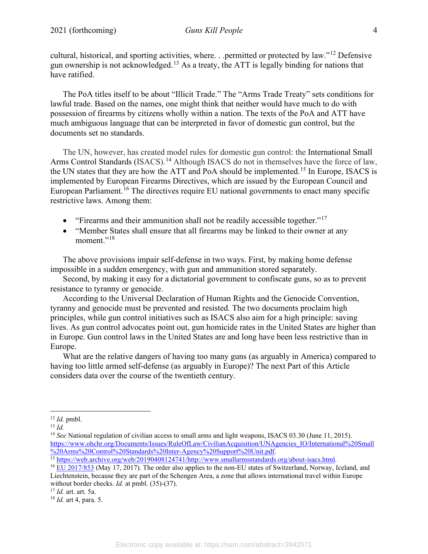cultural, historical, and sporting activities, where. . .permitted or protected by law."[12](#page-3-0) Defensive gun ownership is not acknowledged.[13](#page-3-1) As a treaty, the ATT is legally binding for nations that have ratified.

The PoA titles itself to be about "Illicit Trade." The "Arms Trade Treaty" sets conditions for lawful trade. Based on the names, one might think that neither would have much to do with possession of firearms by citizens wholly within a nation. The texts of the PoA and ATT have much ambiguous language that can be interpreted in favor of domestic gun control, but the documents set no standards.

The UN, however, has created model rules for domestic gun control: the International Small Arms Control Standards (ISACS).<sup>[14](#page-3-2)</sup> Although ISACS do not in themselves have the force of law, the UN states that they are how the ATT and PoA should be implemented.[15](#page-3-3) In Europe, ISACS is implemented by European Firearms Directives, which are issued by the European Council and European Parliament.<sup>[16](#page-3-4)</sup> The directives require EU national governments to enact many specific restrictive laws. Among them:

- "Firearms and their ammunition shall not be readily accessible together."<sup>[17](#page-3-5)</sup>
- "Member States shall ensure that all firearms may be linked to their owner at any moment."<sup>[18](#page-3-6)</sup>

The above provisions impair self-defense in two ways. First, by making home defense impossible in a sudden emergency, with gun and ammunition stored separately.

Second, by making it easy for a dictatorial government to confiscate guns, so as to prevent resistance to tyranny or genocide.

According to the Universal Declaration of Human Rights and the Genocide Convention, tyranny and genocide must be prevented and resisted. The two documents proclaim high principles, while gun control initiatives such as ISACS also aim for a high principle: saving lives. As gun control advocates point out, gun homicide rates in the United States are higher than in Europe. Gun control laws in the United States are and long have been less restrictive than in Europe.

What are the relative dangers of having too many guns (as arguably in America) compared to having too little armed self-defense (as arguably in Europe)? The next Part of this Article considers data over the course of the twentieth century.

<span id="page-3-0"></span><sup>12</sup> *Id.* pmbl.

<span id="page-3-1"></span><sup>13</sup> *Id.*

<span id="page-3-2"></span><sup>&</sup>lt;sup>14</sup> *See* National regulation of civilian access to small arms and light weapons, ISACS 03.30 (June 11, 2015). [https://www.ohchr.org/Documents/Issues/RuleOfLaw/CivilianAcquisition/UNAgencies\\_IO/International%20Small](https://www.ohchr.org/Documents/Issues/RuleOfLaw/CivilianAcquisition/UNAgencies_IO/International%20Small%20Arms%20Control%20Standards%20Inter-Agency%20Support%20Unit.pdf)<br>%20Arms%20Control%20Standards%20Inter-Agency%20Support%20Unit.pdf

<span id="page-3-3"></span><sup>&</sup>lt;sup>15</sup> [https://web.archive.org/web/20190408124741/http://www.smallarmsstandards.org/about-isacs.html.](https://web.archive.org/web/20190408124741/http:/www.smallarmsstandards.org/about-isacs.html)<br><sup>16</sup> [EU 2017/853](https://eur-lex.europa.eu/eli/dir/2017/853/oj) (May 17, 2017). The order also applies to the non-EU states of Switzerland, Norway, Iceland, and

<span id="page-3-4"></span>Liechtenstein, because they are part of the Schengen Area, a zone that allows international travel within Europe without border checks. *Id.* at pmbl. (35)-(37).

<span id="page-3-5"></span><sup>17</sup> *Id.* art. art. 5a.

<span id="page-3-6"></span><sup>18</sup> *Id.* art 4, para. 5.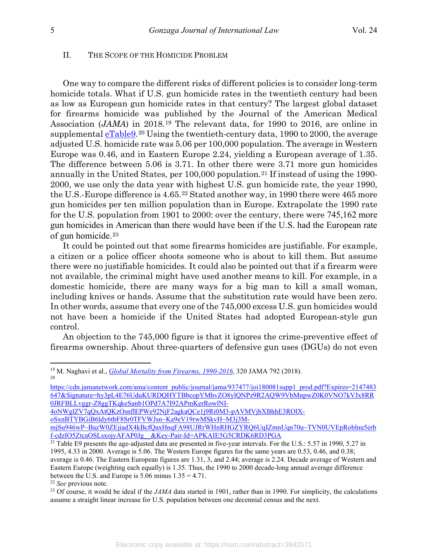#### II. THE SCOPE OF THE HOMICIDE PROBLEM

One way to compare the different risks of different policies is to consider long-term homicide totals. What if U.S. gun homicide rates in the twentieth century had been as low as European gun homicide rates in that century? The largest global dataset for firearms homicide was published by the Journal of the American Medical Association (*JAMA*) in 2018.[19](#page-4-0) The relevant data, for 1990 to 2016, are online in supplemental [eTable9.](https://cdn.jamanetwork.com/ama/content_public/journal/jama/937477/joi180081supp1_prod.pdf?Expires=2147483647&Signature=hy3pL4E76UduKURDQHYTBbcopYMhvZO8ylQNPz9R2AQW9VbMnpwZ0K0VNO7kVJx8RR0JRFBLLvggr-Z8ggTKqkeSanb1OPd7A7I92APmKerRowlNI-4oNWglZV7qQxAtQKzOsnflEPWe92NjF2agkaQCe1j9Ri0M3-pAVMVjbXBhhE3ROlX-oSxnBTYBGiB6ldy6tbF8Sr0TFVWJsn%7EKa9eV19rwMSkvH%7EM3j3M-mjSu946wP%7EBazW0ZEjiadX4kBcfQaxHnqFA98UJRrWHnRHGZYRQ6UqIZmnUqn70u%7ETVN0UVEpRoblnu5erbf-cdzIO5ZtcaOSLsxojyAFAP0Jg__&Key-Pair-Id=APKAIE5G5CRDK6RD3PGA)[20](#page-4-1) Using the twentieth-century data, 1990 to 2000, the average adjusted U.S. homicide rate was 5.06 per 100,000 population. The average in Western Europe was 0.46, and in Eastern Europe 2.24, yielding a European average of 1.35. The difference between 5.06 is 3.71. In other there were 3.71 more gun homicides annually in the United States, per  $100,000$  population.<sup>[21](#page-4-2)</sup> If instead of using the 1990-2000, we use only the data year with highest U.S. gun homicide rate, the year 1990, the U.S.-Europe difference is 4.65.<sup>[22](#page-4-3)</sup> Stated another way, in 1990 there were 465 more gun homicides per ten million population than in Europe. Extrapolate the 1990 rate for the U.S. population from 1901 to 2000: over the century, there were 745,162 more gun homicides in American than there would have been if the U.S. had the European rate of gun homicide.[23](#page-4-4)

It could be pointed out that some firearms homicides are justifiable. For example, a citizen or a police officer shoots someone who is about to kill them. But assume there were no justifiable homicides. It could also be pointed out that if a firearm were not available, the criminal might have used another means to kill. For example, in a domestic homicide, there are many ways for a big man to kill a small woman, including knives or hands. Assume that the substitution rate would have been zero. In other words, assume that every one of the 745,000 excess U.S. gun homicides would not have been a homicide if the United States had adopted European-style gun control.

An objection to the 745,000 figure is that it ignores the crime-preventive effect of firearms ownership. About three-quarters of defensive gun uses (DGUs) do not even

<span id="page-4-0"></span><sup>&</sup>lt;sup>19</sup> M. Naghavi et al., *[Global Mortality from Firearms, 1990-2016](https://cdn.jamanetwork.com/journals/jama/fullarticle/2698492)*, 320 JAMA 792 (2018). 20

<span id="page-4-1"></span>[https://cdn.jamanetwork.com/ama/content\\_public/journal/jama/937477/joi180081supp1\\_prod.pdf?Expires=2147483](https://cdn.jamanetwork.com/ama/content_public/journal/jama/937477/joi180081supp1_prod.pdf?Expires=2147483647&Signature=hy3pL4E76UduKURDQHYTBbcopYMhvZO8ylQNPz9R2AQW9VbMnpwZ0K0VNO7kVJx8RR0JRFBLLvggr-Z8ggTKqkeSanb1OPd7A7I92APmKerRowlNI-4oNWglZV7qQxAtQKzOsnflEPWe92NjF2agkaQCe1j9Ri0M3-pAVMVjbXBhhE3ROlX-oSxnBTYBGiB6ldy6tbF8Sr0TFVWJsn%7EKa9eV19rwMSkvH%7EM3j3M-mjSu946wP%7EBazW0ZEjiadX4kBcfQaxHnqFA98UJRrWHnRHGZYRQ6UqIZmnUqn70u%7ETVN0UVEpRoblnu5erbf-cdzIO5ZtcaOSLsxojyAFAP0Jg__&Key-Pair-Id=APKAIE5G5CRDK6RD3PGA) [647&Signature=hy3pL4E76UduKURDQHYTBbcopYMhvZO8ylQNPz9R2AQW9VbMnpwZ0K0VNO7kVJx8RR](https://cdn.jamanetwork.com/ama/content_public/journal/jama/937477/joi180081supp1_prod.pdf?Expires=2147483647&Signature=hy3pL4E76UduKURDQHYTBbcopYMhvZO8ylQNPz9R2AQW9VbMnpwZ0K0VNO7kVJx8RR0JRFBLLvggr-Z8ggTKqkeSanb1OPd7A7I92APmKerRowlNI-4oNWglZV7qQxAtQKzOsnflEPWe92NjF2agkaQCe1j9Ri0M3-pAVMVjbXBhhE3ROlX-oSxnBTYBGiB6ldy6tbF8Sr0TFVWJsn%7EKa9eV19rwMSkvH%7EM3j3M-mjSu946wP%7EBazW0ZEjiadX4kBcfQaxHnqFA98UJRrWHnRHGZYRQ6UqIZmnUqn70u%7ETVN0UVEpRoblnu5erbf-cdzIO5ZtcaOSLsxojyAFAP0Jg__&Key-Pair-Id=APKAIE5G5CRDK6RD3PGA) [0JRFBLLvggr-Z8ggTKqkeSanb1OPd7A7I92APmKerRowlNI-](https://cdn.jamanetwork.com/ama/content_public/journal/jama/937477/joi180081supp1_prod.pdf?Expires=2147483647&Signature=hy3pL4E76UduKURDQHYTBbcopYMhvZO8ylQNPz9R2AQW9VbMnpwZ0K0VNO7kVJx8RR0JRFBLLvggr-Z8ggTKqkeSanb1OPd7A7I92APmKerRowlNI-4oNWglZV7qQxAtQKzOsnflEPWe92NjF2agkaQCe1j9Ri0M3-pAVMVjbXBhhE3ROlX-oSxnBTYBGiB6ldy6tbF8Sr0TFVWJsn%7EKa9eV19rwMSkvH%7EM3j3M-mjSu946wP%7EBazW0ZEjiadX4kBcfQaxHnqFA98UJRrWHnRHGZYRQ6UqIZmnUqn70u%7ETVN0UVEpRoblnu5erbf-cdzIO5ZtcaOSLsxojyAFAP0Jg__&Key-Pair-Id=APKAIE5G5CRDK6RD3PGA)

[<sup>4</sup>oNWglZV7qQxAtQKzOsnflEPWe92NjF2agkaQCe1j9Ri0M3-pAVMVjbXBhhE3ROlX](https://cdn.jamanetwork.com/ama/content_public/journal/jama/937477/joi180081supp1_prod.pdf?Expires=2147483647&Signature=hy3pL4E76UduKURDQHYTBbcopYMhvZO8ylQNPz9R2AQW9VbMnpwZ0K0VNO7kVJx8RR0JRFBLLvggr-Z8ggTKqkeSanb1OPd7A7I92APmKerRowlNI-4oNWglZV7qQxAtQKzOsnflEPWe92NjF2agkaQCe1j9Ri0M3-pAVMVjbXBhhE3ROlX-oSxnBTYBGiB6ldy6tbF8Sr0TFVWJsn%7EKa9eV19rwMSkvH%7EM3j3M-mjSu946wP%7EBazW0ZEjiadX4kBcfQaxHnqFA98UJRrWHnRHGZYRQ6UqIZmnUqn70u%7ETVN0UVEpRoblnu5erbf-cdzIO5ZtcaOSLsxojyAFAP0Jg__&Key-Pair-Id=APKAIE5G5CRDK6RD3PGA)[oSxnBTYBGiB6ldy6tbF8Sr0TFVWJsn~Ka9eV19rwMSkvH~M3j3M-](https://cdn.jamanetwork.com/ama/content_public/journal/jama/937477/joi180081supp1_prod.pdf?Expires=2147483647&Signature=hy3pL4E76UduKURDQHYTBbcopYMhvZO8ylQNPz9R2AQW9VbMnpwZ0K0VNO7kVJx8RR0JRFBLLvggr-Z8ggTKqkeSanb1OPd7A7I92APmKerRowlNI-4oNWglZV7qQxAtQKzOsnflEPWe92NjF2agkaQCe1j9Ri0M3-pAVMVjbXBhhE3ROlX-oSxnBTYBGiB6ldy6tbF8Sr0TFVWJsn%7EKa9eV19rwMSkvH%7EM3j3M-mjSu946wP%7EBazW0ZEjiadX4kBcfQaxHnqFA98UJRrWHnRHGZYRQ6UqIZmnUqn70u%7ETVN0UVEpRoblnu5erbf-cdzIO5ZtcaOSLsxojyAFAP0Jg__&Key-Pair-Id=APKAIE5G5CRDK6RD3PGA)

[mjSu946wP~BazW0ZEjiadX4kBcfQaxHnqFA98UJRrWHnRHGZYRQ6UqIZmnUqn70u~TVN0UVEpRoblnu5erb](https://cdn.jamanetwork.com/ama/content_public/journal/jama/937477/joi180081supp1_prod.pdf?Expires=2147483647&Signature=hy3pL4E76UduKURDQHYTBbcopYMhvZO8ylQNPz9R2AQW9VbMnpwZ0K0VNO7kVJx8RR0JRFBLLvggr-Z8ggTKqkeSanb1OPd7A7I92APmKerRowlNI-4oNWglZV7qQxAtQKzOsnflEPWe92NjF2agkaQCe1j9Ri0M3-pAVMVjbXBhhE3ROlX-oSxnBTYBGiB6ldy6tbF8Sr0TFVWJsn%7EKa9eV19rwMSkvH%7EM3j3M-mjSu946wP%7EBazW0ZEjiadX4kBcfQaxHnqFA98UJRrWHnRHGZYRQ6UqIZmnUqn70u%7ETVN0UVEpRoblnu5erbf-cdzIO5ZtcaOSLsxojyAFAP0Jg__&Key-Pair-Id=APKAIE5G5CRDK6RD3PGA) [f-cdzIO5ZtcaOSLsxojyAFAP0Jg\\_\\_&Key-Pair-Id=APKAIE5G5CRDK6RD3PGA](https://cdn.jamanetwork.com/ama/content_public/journal/jama/937477/joi180081supp1_prod.pdf?Expires=2147483647&Signature=hy3pL4E76UduKURDQHYTBbcopYMhvZO8ylQNPz9R2AQW9VbMnpwZ0K0VNO7kVJx8RR0JRFBLLvggr-Z8ggTKqkeSanb1OPd7A7I92APmKerRowlNI-4oNWglZV7qQxAtQKzOsnflEPWe92NjF2agkaQCe1j9Ri0M3-pAVMVjbXBhhE3ROlX-oSxnBTYBGiB6ldy6tbF8Sr0TFVWJsn%7EKa9eV19rwMSkvH%7EM3j3M-mjSu946wP%7EBazW0ZEjiadX4kBcfQaxHnqFA98UJRrWHnRHGZYRQ6UqIZmnUqn70u%7ETVN0UVEpRoblnu5erbf-cdzIO5ZtcaOSLsxojyAFAP0Jg__&Key-Pair-Id=APKAIE5G5CRDK6RD3PGA)

<span id="page-4-2"></span> $21$  Table E9 presents the age-adjusted data are presented in five-year intervals. For the U.S.: 5.57 in 1990, 5.27 in 1995, 4.33 in 2000. Average is 5.06. The Western Europe figures for the same years are 0.53, 0.46, and 0.38; average is 0.46. The Eastern European figures are 1.31, 3, and 2.44; average is 2.24. Decade average of Western and Eastern Europe (weighting each equally) is 1.35. Thus, the 1990 to 2000 decade-long annual average difference between the U.S. and Europe is 5.06 minus 1.35 = 4.71.

<span id="page-4-3"></span><sup>22</sup> *See* previous note.

<span id="page-4-4"></span><sup>&</sup>lt;sup>23</sup> Of course, it would be ideal if the *JAMA* data started in 1901, rather than in 1990. For simplicity, the calculations assume a straight linear increase for U.S. population between one decennial census and the next.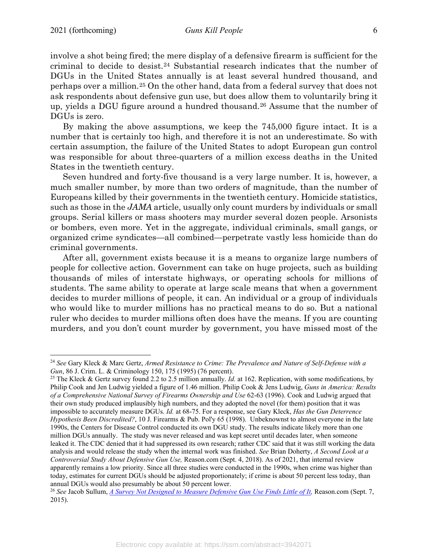involve a shot being fired; the mere display of a defensive firearm is sufficient for the criminal to decide to desist.[24](#page-5-0) Substantial research indicates that the number of DGUs in the United States annually is at least several hundred thousand, and perhaps over a million.[25](#page-5-1) On the other hand, data from a federal survey that does not ask respondents about defensive gun use, but does allow them to voluntarily bring it up, yields a DGU figure around a hundred thousand.[26](#page-5-2) Assume that the number of DGUs is zero.

By making the above assumptions, we keep the 745,000 figure intact. It is a number that is certainly too high, and therefore it is not an underestimate. So with certain assumption, the failure of the United States to adopt European gun control was responsible for about three-quarters of a million excess deaths in the United States in the twentieth century.

Seven hundred and forty-five thousand is a very large number. It is, however, a much smaller number, by more than two orders of magnitude, than the number of Europeans killed by their governments in the twentieth century. Homicide statistics, such as those in the *JAMA* article, usually only count murders by individuals or small groups. Serial killers or mass shooters may murder several dozen people. Arsonists or bombers, even more. Yet in the aggregate, individual criminals, small gangs, or organized crime syndicates—all combined—perpetrate vastly less homicide than do criminal governments.

After all, government exists because it is a means to organize large numbers of people for collective action. Government can take on huge projects, such as building thousands of miles of interstate highways, or operating schools for millions of students. The same ability to operate at large scale means that when a government decides to murder millions of people, it can. An individual or a group of individuals who would like to murder millions has no practical means to do so. But a national ruler who decides to murder millions often does have the means. If you are counting murders, and you don't count murder by government, you have missed most of the

<span id="page-5-0"></span><sup>24</sup> *See* Gary Kleck & Marc Gertz, *Armed Resistance to Crime: The Prevalence and Nature of Self-Defense with a Gun*, 86 J. Crim. L. & Criminology 150, 175 (1995) (76 percent).

<span id="page-5-1"></span><sup>25</sup> The Kleck & Gertz survey found 2.2 to 2.5 million annually. *Id.* at 162. Replication, with some modifications, by Philip Cook and Jen Ludwig yielded a figure of 1.46 million. Philip Cook & Jens Ludwig, *Guns in America: Results of a Comprehensive National Survey of Firearms Ownership and Use* 62-63 (1996). Cook and Ludwig argued that their own study produced implausibly high numbers, and they adopted the novel (for them) position that it was impossible to accurately measure DGUs. *Id.* at 68-75. For a response, see Gary Kleck, *Has the Gun Deterrence Hypothesis Been Discredited?*, 10 J. Firearms & Pub. Pol'y 65 (1998). Unbeknownst to almost everyone in the late 1990s, the Centers for Disease Control conducted its own DGU study. The results indicate likely more than one million DGUs annually. The study was never released and was kept secret until decades later, when someone leaked it. The CDC denied that it had suppressed its own research; rather CDC said that it was still working the data analysis and would release the study when the internal work was finished. *See* Brian Doherty, *A Second Look at a Controversial Study About Defensive Gun Use,* Reason.com (Sept. 4, 2018). As of 2021, that internal review apparently remains a low priority. Since all three studies were conducted in the 1990s, when crime was higher than today, estimates for current DGUs should be adjusted proportionately; if crime is about 50 percent less today, than annual DGUs would also presumably be about 50 percent lower.

<span id="page-5-2"></span><sup>26</sup> *See* Jacob Sullum, *[A Survey Not Designed to Measure Defensive Gun Use Finds Little of It,](https://reason.com/2015/09/07/a-survey-thats-not-designed-to-measure-d/)* Reason.com (Sept. 7, 2015).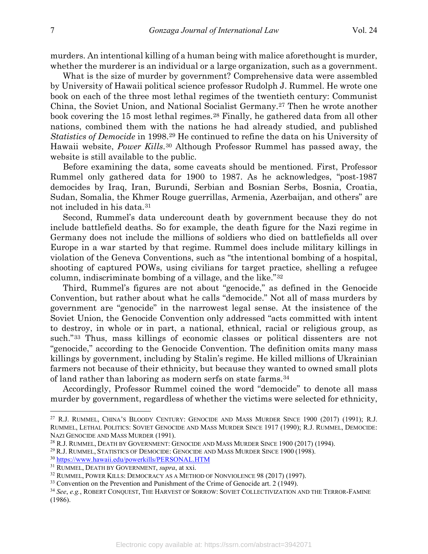murders. An intentional killing of a human being with malice aforethought is murder, whether the murderer is an individual or a large organization, such as a government.

What is the size of murder by government? Comprehensive data were assembled by University of Hawaii political science professor Rudolph J. Rummel. He wrote one book on each of the three most lethal regimes of the twentieth century: Communist China, the Soviet Union, and National Socialist Germany.[27](#page-6-0) Then he wrote another book covering the 15 most lethal regimes.<sup>[28](#page-6-1)</sup> Finally, he gathered data from all other nations, combined them with the nations he had already studied, and published *Statistics of Democide* in 1998.[29](#page-6-2) He continued to refine the data on his University of Hawaii website, *Power Kills*.[30](#page-6-3) Although Professor Rummel has passed away, the website is still available to the public.

Before examining the data, some caveats should be mentioned. First, Professor Rummel only gathered data for 1900 to 1987. As he acknowledges, "post-1987 democides by Iraq, Iran, Burundi, Serbian and Bosnian Serbs, Bosnia, Croatia, Sudan, Somalia, the Khmer Rouge guerrillas, Armenia, Azerbaijan, and others" are not included in his data.[31](#page-6-4)

Second, Rummel's data undercount death by government because they do not include battlefield deaths. So for example, the death figure for the Nazi regime in Germany does not include the millions of soldiers who died on battlefields all over Europe in a war started by that regime. Rummel does include military killings in violation of the Geneva Conventions, such as "the intentional bombing of a hospital, shooting of captured POWs, using civilians for target practice, shelling a refugee column, indiscriminate bombing of a village, and the like."[32](#page-6-5)

Third, Rummel's figures are not about "genocide," as defined in the Genocide Convention, but rather about what he calls "democide." Not all of mass murders by government are "genocide" in the narrowest legal sense. At the insistence of the Soviet Union, the Genocide Convention only addressed "acts committed with intent to destroy, in whole or in part, a national, ethnical, racial or religious group, as such."[33](#page-6-6) Thus, mass killings of economic classes or political dissenters are not "genocide," according to the Genocide Convention. The definition omits many mass killings by government, including by Stalin's regime. He killed millions of Ukrainian farmers not because of their ethnicity, but because they wanted to owned small plots of land rather than laboring as modern serfs on state farms.[34](#page-6-7)

Accordingly, Professor Rummel coined the word "democide" to denote all mass murder by government, regardless of whether the victims were selected for ethnicity,

<span id="page-6-0"></span><sup>&</sup>lt;sup>27</sup> R.J. RUMMEL, CHINA'S BLOODY CENTURY: GENOCIDE AND MASS MURDER SINCE 1900 (2017) (1991); R.J. RUMMEL, LETHAL POLITICS: SOVIET GENOCIDE AND MASS MURDER SINCE 1917 (1990); R.J. RUMMEL, DEMOCIDE: NAZI GENOCIDE AND MASS MURDER (1991).

<span id="page-6-1"></span><sup>28</sup> R.J. RUMMEL, DEATH BY GOVERNMENT: GENOCIDE AND MASS MURDER SINCE 1900 (2017) (1994).

<span id="page-6-2"></span><sup>29</sup> R.J. RUMMEL, STATISTICS OF DEMOCIDE: GENOCIDE AND MASS MURDER SINCE 1900 (1998).

<span id="page-6-3"></span><sup>30</sup> <https://www.hawaii.edu/powerkills/PERSONAL.HTM>

<span id="page-6-5"></span><span id="page-6-4"></span><sup>31</sup> RUMMEL, DEATH BY GOVERNMENT, *supra*, at xxi.

<sup>32</sup> RUMMEL, POWER KILLS: DEMOCRACY AS A METHOD OF NONVIOLENCE 98 (2017) (1997).

<span id="page-6-6"></span><sup>&</sup>lt;sup>33</sup> Convention on the Prevention and Punishment of the Crime of Genocide art. 2 (1949).

<span id="page-6-7"></span><sup>34</sup> *See*, *e.g.*, ROBERT CONQUEST, THE HARVEST OF SORROW: SOVIET COLLECTIVIZATION AND THE TERROR-FAMINE (1986).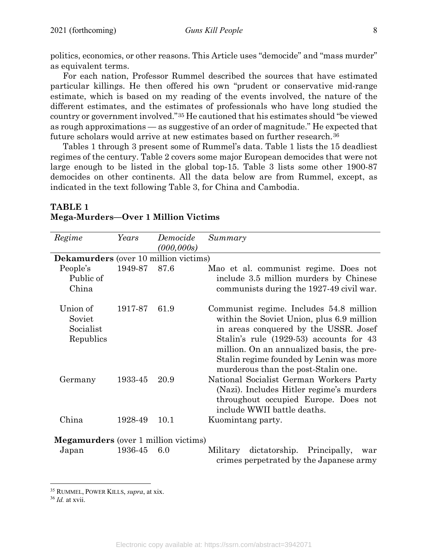politics, economics, or other reasons. This Article uses "democide" and "mass murder" as equivalent terms.

For each nation, Professor Rummel described the sources that have estimated particular killings. He then offered his own "prudent or conservative mid-range estimate, which is based on my reading of the events involved, the nature of the different estimates, and the estimates of professionals who have long studied the country or government involved."[35](#page-7-0) He cautioned that his estimates should "be viewed as rough approximations — as suggestive of an order of magnitude." He expected that future scholars would arrive at new estimates based on further research.[36](#page-7-1)

Tables 1 through 3 present some of Rummel's data. Table 1 lists the 15 deadliest regimes of the century. Table 2 covers some major European democides that were not large enough to be listed in the global top-15. Table 3 lists some other 1900-87 democides on other continents. All the data below are from Rummel, except, as indicated in the text following Table 3, for China and Cambodia.

| Regime                                       | Years   | Democide<br>(000, 000s) | Summary                                                                                                                                                                                                                                                                                                 |  |
|----------------------------------------------|---------|-------------------------|---------------------------------------------------------------------------------------------------------------------------------------------------------------------------------------------------------------------------------------------------------------------------------------------------------|--|
| Dekamurders (over 10 million victims)        |         |                         |                                                                                                                                                                                                                                                                                                         |  |
| People's<br>Public of<br>China               | 1949-87 | 87.6                    | Mao et al. communist regime. Does not<br>include 3.5 million murders by Chinese<br>communists during the 1927-49 civil war.                                                                                                                                                                             |  |
| Union of<br>Soviet<br>Socialist<br>Republics | 1917-87 | 61.9                    | Communist regime. Includes 54.8 million<br>within the Soviet Union, plus 6.9 million<br>in areas conquered by the USSR. Josef<br>Stalin's rule (1929-53) accounts for 43<br>million. On an annualized basis, the pre-<br>Stalin regime founded by Lenin was more<br>murderous than the post-Stalin one. |  |
| Germany                                      | 1933-45 | 20.9                    | National Socialist German Workers Party<br>(Nazi). Includes Hitler regime's murders<br>throughout occupied Europe. Does not<br>include WWII battle deaths.                                                                                                                                              |  |
| China                                        | 1928-49 | 10.1                    | Kuomintang party.                                                                                                                                                                                                                                                                                       |  |
| <b>Megamurders</b> (over 1 million victims)  |         |                         |                                                                                                                                                                                                                                                                                                         |  |
| Japan                                        | 1936-45 | 6.0                     | dictatorship.<br>Principally,<br>Military<br>war<br>crimes perpetrated by the Japanese army                                                                                                                                                                                                             |  |

## **TABLE 1 Mega-Murders—Over 1 Million Victims**

<span id="page-7-0"></span><sup>35</sup> RUMMEL, POWER KILLS, *supra*, at xix.

<span id="page-7-1"></span><sup>36</sup> *Id.* at xvii.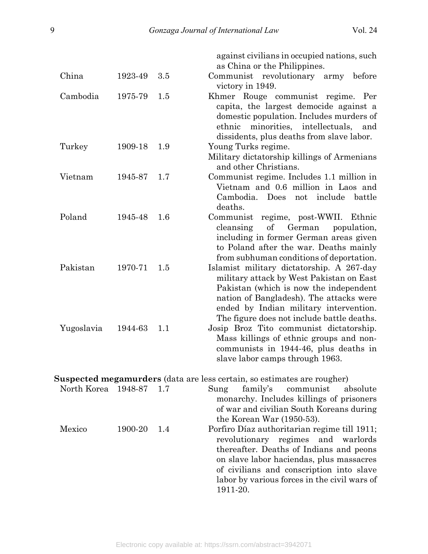against civilians in occupied nations, such as China or the Philippines.

labor by various forces in the civil wars of

| China       | 1923-49 | 3.5 | Communist revolutionary<br>before<br>army<br>victory in 1949.                                                                                                                                                                                                      |
|-------------|---------|-----|--------------------------------------------------------------------------------------------------------------------------------------------------------------------------------------------------------------------------------------------------------------------|
| Cambodia    | 1975-79 | 1.5 | Khmer Rouge communist regime. Per<br>capita, the largest democide against a<br>domestic population. Includes murders of<br>ethnic minorities, intellectuals,<br>and<br>dissidents, plus deaths from slave labor.                                                   |
| Turkey      | 1909-18 | 1.9 | Young Turks regime.<br>Military dictatorship killings of Armenians<br>and other Christians.                                                                                                                                                                        |
| Vietnam     | 1945-87 | 1.7 | Communist regime. Includes 1.1 million in<br>Vietnam and 0.6 million in Laos and<br>Cambodia. Does<br>not include battle<br>deaths.                                                                                                                                |
| Poland      | 1945-48 | 1.6 | Communist regime, post-WWII. Ethnic<br>of<br>cleansing<br>German<br>population,<br>including in former German areas given<br>to Poland after the war. Deaths mainly<br>from subhuman conditions of deportation.                                                    |
| Pakistan    | 1970-71 | 1.5 | Islamist military dictatorship. A 267-day<br>military attack by West Pakistan on East<br>Pakistan (which is now the independent<br>nation of Bangladesh). The attacks were<br>ended by Indian military intervention.<br>The figure does not include battle deaths. |
| Yugoslavia  | 1944-63 | 1.1 | Josip Broz Tito communist dictatorship.<br>Mass killings of ethnic groups and non-<br>communists in 1944-46, plus deaths in<br>slave labor camps through 1963.                                                                                                     |
|             |         |     | <b>Suspected megamurders</b> (data are less certain, so estimates are rougher)                                                                                                                                                                                     |
| North Korea | 1948-87 | 1.7 | absolute<br>family's<br>Sung<br>communist<br>monarchy. Includes killings of prisoners<br>of war and civilian South Koreans during<br>the Korean War $(1950-53)$ .                                                                                                  |
| Mexico      | 1900-20 | 1.4 | Porfiro Díaz authoritarian regime till 1911;<br>revolutionary<br>regimes<br>and<br>warlords<br>thereafter. Deaths of Indians and peons<br>on slave labor haciendas, plus massacres<br>of civilians and conscription into slave                                     |

1911-20.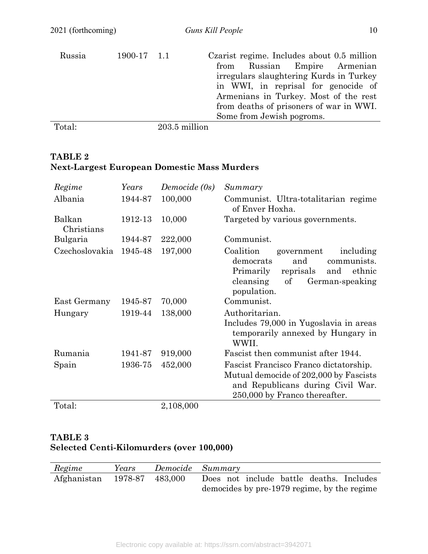| Russia | 1900-17 1.1 |               | Czarist regime. Includes about 0.5 million<br>Russian Empire Armenian<br>from<br>irregulars slaughtering Kurds in Turkey<br>in WWI, in reprisal for genocide of<br>Armenians in Turkey. Most of the rest<br>from deaths of prisoners of war in WWI.<br>Some from Jewish pogroms. |
|--------|-------------|---------------|----------------------------------------------------------------------------------------------------------------------------------------------------------------------------------------------------------------------------------------------------------------------------------|
| Total: |             | 203.5 million |                                                                                                                                                                                                                                                                                  |

## **TABLE 2 Next-Largest European Domestic Mass Murders**

| Regime               | Years   | Democide (0s) | Summary                                                                                                                                                                 |
|----------------------|---------|---------------|-------------------------------------------------------------------------------------------------------------------------------------------------------------------------|
| Albania              | 1944-87 | 100,000       | Communist. Ultra-totalitarian regime<br>of Enver Hoxha.                                                                                                                 |
| Balkan<br>Christians | 1912-13 | 10,000        | Targeted by various governments.                                                                                                                                        |
| Bulgaria             | 1944-87 | 222,000       | Communist.                                                                                                                                                              |
| Czechoslovakia       | 1945-48 | 197,000       | Coalition<br>including<br>government<br>and<br>communists.<br>democrats<br>Primarily<br>reprisals<br>ethnic<br>and<br>cleansing<br>of<br>German-speaking<br>population. |
| East Germany         | 1945-87 | 70,000        | Communist.                                                                                                                                                              |
| Hungary              | 1919-44 | 138,000       | Authoritarian.<br>Includes 79,000 in Yugoslavia in areas<br>temporarily annexed by Hungary in<br>WWII.                                                                  |
| Rumania              | 1941-87 | 919,000       | Fascist then communist after 1944.                                                                                                                                      |
| Spain                | 1936-75 | 452,000       | Fascist Francisco Franco dictatorship.<br>Mutual democide of 202,000 by Fascists<br>and Republicans during Civil War.<br>250,000 by Franco thereafter.                  |
| Total:               |         | 2,108,000     |                                                                                                                                                                         |

# **TABLE 3 Selected Centi-Kilomurders (over 100,000)**

| Regime                      | Years | Democide Summary                            |
|-----------------------------|-------|---------------------------------------------|
| Afghanistan 1978-87 483,000 |       | Does not include battle deaths. Includes    |
|                             |       | democides by pre-1979 regime, by the regime |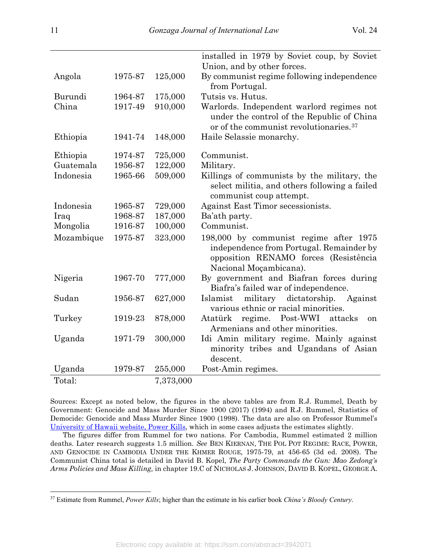|            |         |           | installed in 1979 by Soviet coup, by Soviet<br>Union, and by other forces.                                                                            |
|------------|---------|-----------|-------------------------------------------------------------------------------------------------------------------------------------------------------|
|            |         |           |                                                                                                                                                       |
| Angola     | 1975-87 | 125,000   | By communist regime following independence<br>from Portugal.                                                                                          |
| Burundi    | 1964-87 | 175,000   | Tutsis vs. Hutus.                                                                                                                                     |
| China      | 1917-49 | 910,000   | Warlords. Independent warlord regimes not<br>under the control of the Republic of China<br>or of the communist revolutionaries. <sup>37</sup>         |
| Ethiopia   | 1941-74 | 148,000   | Haile Selassie monarchy.                                                                                                                              |
| Ethiopia   | 1974-87 | 725,000   | Communist.                                                                                                                                            |
| Guatemala  | 1956-87 | 122,000   | Military.                                                                                                                                             |
| Indonesia  | 1965-66 | 509,000   | Killings of communists by the military, the<br>select militia, and others following a failed<br>communist coup attempt.                               |
| Indonesia  | 1965-87 | 729,000   | Against East Timor secessionists.                                                                                                                     |
| Iraq       | 1968-87 | 187,000   | Ba'ath party.                                                                                                                                         |
| Mongolia   | 1916-87 | 100,000   | Communist.                                                                                                                                            |
| Mozambique | 1975-87 | 323,000   | 198,000 by communist regime after 1975<br>independence from Portugal. Remainder by<br>opposition RENAMO forces (Resistência<br>Nacional Moçambicana). |
| Nigeria    | 1967-70 | 777,000   | By government and Biafran forces during<br>Biafra's failed war of independence.                                                                       |
| Sudan      | 1956-87 | 627,000   | military<br>dictatorship.<br>Islamist<br>Against<br>various ethnic or racial minorities.                                                              |
| Turkey     | 1919-23 | 878,000   | regime. Post-WWI attacks<br>Atatürk<br>on<br>Armenians and other minorities.                                                                          |
| Uganda     | 1971-79 | 300,000   | Idi Amin military regime. Mainly against<br>minority tribes and Ugandans of Asian<br>descent.                                                         |
| Uganda     | 1979-87 | 255,000   | Post-Amin regimes.                                                                                                                                    |
| Total:     |         | 7,373,000 |                                                                                                                                                       |

Sources: Except as noted below, the figures in the above tables are from R.J. Rummel, Death by Government: Genocide and Mass Murder Since 1900 (2017) (1994) and R.J. Rummel, Statistics of Democide: Genocide and Mass Murder Since 1900 (1998). The data are also on Professor Rummel's [University of Hawaii website, Power Kills,](https://www.hawaii.edu/powerkills/PERSONAL.HTM) which in some cases adjusts the estimates slightly.

The figures differ from Rummel for two nations. For Cambodia, Rummel estimated 2 million deaths. Later research suggests 1.5 million. *See* BEN KIERNAN, THE POL POT REGIME: RACE, POWER, AND GENOCIDE IN CAMBODIA UNDER THE KHMER ROUGE, 1975-79, at 456-65 (3d ed. 2008). The Communist China total is detailed in David B. Kopel, *The Party Commands the Gun: Mao Zedong's Arms Policies and Mass Killing,* in chapter 19.C of NICHOLAS J. JOHNSON, DAVID B. KOPEL, GEORGE A.

<span id="page-10-0"></span><sup>37</sup> Estimate from Rummel, *Power Kills*; higher than the estimate in his earlier book *China's Bloody Century*.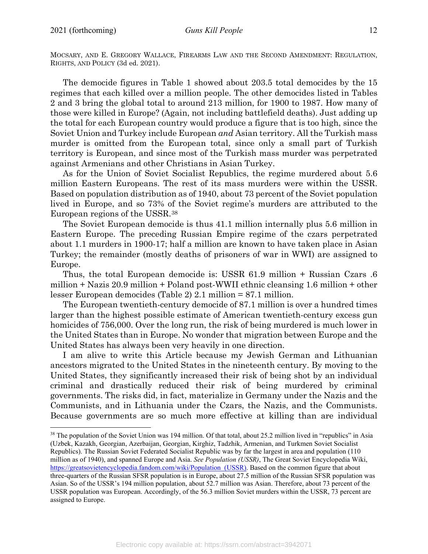MOCSARY, AND E. GREGORY WALLACE, FIREARMS LAW AND THE SECOND AMENDMENT: REGULATION, RIGHTS, AND POLICY (3d ed. 2021).

The democide figures in Table 1 showed about 203.5 total democides by the 15 regimes that each killed over a million people. The other democides listed in Tables 2 and 3 bring the global total to around 213 million, for 1900 to 1987. How many of those were killed in Europe? (Again, not including battlefield deaths). Just adding up the total for each European country would produce a figure that is too high, since the Soviet Union and Turkey include European *and* Asian territory. All the Turkish mass murder is omitted from the European total, since only a small part of Turkish territory is European, and since most of the Turkish mass murder was perpetrated against Armenians and other Christians in Asian Turkey.

As for the Union of Soviet Socialist Republics, the regime murdered about 5.6 million Eastern Europeans. The rest of its mass murders were within the USSR. Based on population distribution as of 1940, about 73 percent of the Soviet population lived in Europe, and so 73% of the Soviet regime's murders are attributed to the European regions of the USSR.[38](#page-11-0)

The Soviet European democide is thus 41.1 million internally plus 5.6 million in Eastern Europe. The preceding Russian Empire regime of the czars perpetrated about 1.1 murders in 1900-17; half a million are known to have taken place in Asian Turkey; the remainder (mostly deaths of prisoners of war in WWI) are assigned to Europe.

Thus, the total European democide is: USSR 61.9 million + Russian Czars .6 million + Nazis 20.9 million + Poland post-WWII ethnic cleansing 1.6 million + other lesser European democides (Table 2) 2.1 million = 87.1 million.

The European twentieth-century democide of 87.1 million is over a hundred times larger than the highest possible estimate of American twentieth-century excess gun homicides of 756,000. Over the long run, the risk of being murdered is much lower in the United States than in Europe. No wonder that migration between Europe and the United States has always been very heavily in one direction.

I am alive to write this Article because my Jewish German and Lithuanian ancestors migrated to the United States in the nineteenth century. By moving to the United States, they significantly increased their risk of being shot by an individual criminal and drastically reduced their risk of being murdered by criminal governments. The risks did, in fact, materialize in Germany under the Nazis and the Communists, and in Lithuania under the Czars, the Nazis, and the Communists. Because governments are so much more effective at killing than are individual

<span id="page-11-0"></span><sup>&</sup>lt;sup>38</sup> The population of the Soviet Union was 194 million. Of that total, about 25.2 million lived in "republics" in Asia (Uzbek, Kazakh, Georgian, Azerbaijan, Georgian, Kirghiz, Tadzhik, Armenian, and Turkmen Soviet Socialist Republics). The Russian Soviet Federated Socialist Republic was by far the largest in area and population (110 million as of 1940), and spanned Europe and Asia. *See Population (USSR)*, The Great Soviet Encyclopedia Wiki, https://greatsovietencyclopedia.fandom.com/wiki/Population (USSR). Based on the common figure that about three-quarters of the Russian SFSR population is in Europe, about 27.5 million of the Russian SFSR population was Asian. So of the USSR's 194 million population, about 52.7 million was Asian. Therefore, about 73 percent of the USSR population was European. Accordingly, of the 56.3 million Soviet murders within the USSR, 73 percent are assigned to Europe.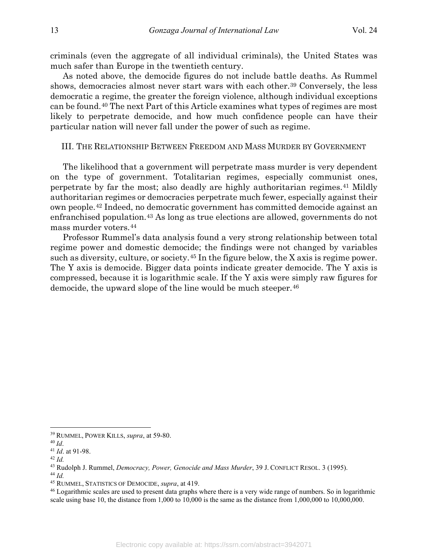criminals (even the aggregate of all individual criminals), the United States was much safer than Europe in the twentieth century.

As noted above, the democide figures do not include battle deaths. As Rummel shows, democracies almost never start wars with each other.[39](#page-12-0) Conversely, the less democratic a regime, the greater the foreign violence, although individual exceptions can be found.[40](#page-12-1) The next Part of this Article examines what types of regimes are most likely to perpetrate democide, and how much confidence people can have their particular nation will never fall under the power of such as regime.

#### III. THE RELATIONSHIP BETWEEN FREEDOM AND MASS MURDER BY GOVERNMENT

The likelihood that a government will perpetrate mass murder is very dependent on the type of government. Totalitarian regimes, especially communist ones, perpetrate by far the most; also deadly are highly authoritarian regimes.[41](#page-12-2) Mildly authoritarian regimes or democracies perpetrate much fewer, especially against their own people.[42](#page-12-3) Indeed, no democratic government has committed democide against an enfranchised population.[43](#page-12-4) As long as true elections are allowed, governments do not mass murder voters.[44](#page-12-5)

Professor Rummel's data analysis found a very strong relationship between total regime power and domestic democide; the findings were not changed by variables such as diversity, culture, or society.[45](#page-12-6) In the figure below, the X axis is regime power. The Y axis is democide. Bigger data points indicate greater democide. The Y axis is compressed, because it is logarithmic scale. If the Y axis were simply raw figures for democide, the upward slope of the line would be much steeper.<sup>[46](#page-12-7)</sup>

<span id="page-12-0"></span><sup>39</sup> RUMMEL, POWER KILLS, *supra*, at 59-80.

<span id="page-12-1"></span><sup>40</sup> *Id*.

<span id="page-12-2"></span><sup>41</sup> *Id*. at 91-98.

<span id="page-12-4"></span><span id="page-12-3"></span><sup>42</sup> *Id.*

<sup>43</sup> Rudolph J. Rummel, *Democracy, Power, Genocide and Mass Murder*, 39 J. CONFLICT RESOL. 3 (1995). <sup>44</sup> *Id.*

<span id="page-12-6"></span><span id="page-12-5"></span><sup>45</sup> RUMMEL, STATISTICS OF DEMOCIDE, *supra*, at 419.

<span id="page-12-7"></span><sup>46</sup> Logarithmic scales are used to present data graphs where there is a very wide range of numbers. So in logarithmic scale using base 10, the distance from 1,000 to 10,000 is the same as the distance from 1,000,000 to 10,000,000.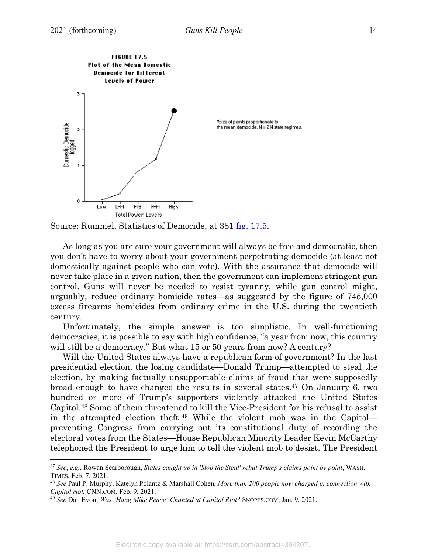

Source: Rummel, Statistics of Democide, at 381 [fig. 17.5.](https://www.hawaii.edu/powerkills/SOD.FIG17.5.GIF)

As long as you are sure your government will always be free and democratic, then you don't have to worry about your government perpetrating democide (at least not domestically against people who can vote). With the assurance that democide will never take place in a given nation, then the government can implement stringent gun control. Guns will never be needed to resist tyranny, while gun control might, arguably, reduce ordinary homicide rates—as suggested by the figure of 745,000 excess firearms homicides from ordinary crime in the U.S. during the twentieth century.

Unfortunately, the simple answer is too simplistic. In well-functioning democracies, it is possible to say with high confidence, "a year from now, this country will still be a democracy." But what 15 or 50 years from now? A century?

Will the United States always have a republican form of government? In the last presidential election, the losing candidate—Donald Trump—attempted to steal the election, by making factually unsupportable claims of fraud that were supposedly broad enough to have changed the results in several states[.47](#page-13-0) On January 6, two hundred or more of Trump's supporters violently attacked the United States Capitol.[48](#page-13-1) Some of them threatened to kill the Vice-President for his refusal to assist in the attempted election theft.[49](#page-13-2) While the violent mob was in the Capitol preventing Congress from carrying out its constitutional duty of recording the electoral votes from the States—House Republican Minority Leader Kevin McCarthy telephoned the President to urge him to tell the violent mob to desist. The President

<span id="page-13-0"></span><sup>47</sup> *See*, *e.g.*, Rowan Scarborough, *States caught up in 'Stop the Steal' rebut Trump's claims point by point*, WASH. TIMES, Feb. 7, 2021.

<span id="page-13-1"></span><sup>48</sup> *See* Paul P. Murphy, Katelyn Polantz & Marshall Cohen, *More than 200 people now charged in connection with Capitol riot*, CNN.COM, Feb. 9, 2021.

<span id="page-13-2"></span><sup>49</sup> *See* Dan Evon, *Was 'Hang Mike Pence' Chanted at Capitol Riot?* SNOPES.COM, Jan. 9, 2021.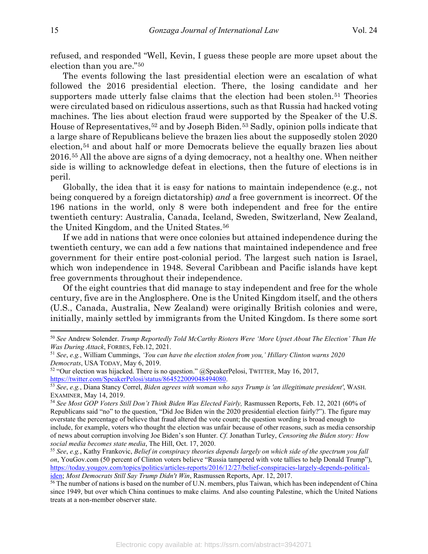refused, and responded "Well, Kevin, I guess these people are more upset about the election than you are."[50](#page-14-0)

The events following the last presidential election were an escalation of what followed the 2016 presidential election. There, the losing candidate and her supporters made utterly false claims that the election had been stolen.<sup>[51](#page-14-1)</sup> Theories were circulated based on ridiculous assertions, such as that Russia had hacked voting machines. The lies about election fraud were supported by the Speaker of the U.S. House of Representatives,<sup>[52](#page-14-2)</sup> and by Joseph Biden.<sup>[53](#page-14-3)</sup> Sadly, opinion polls indicate that a large share of Republicans believe the brazen lies about the supposedly stolen 2020 election,[54](#page-14-4) and about half or more Democrats believe the equally brazen lies about 2016.[55](#page-14-5) All the above are signs of a dying democracy, not a healthy one. When neither side is willing to acknowledge defeat in elections, then the future of elections is in peril.

Globally, the idea that it is easy for nations to maintain independence (e.g., not being conquered by a foreign dictatorship) *and* a free government is incorrect. Of the 196 nations in the world, only 8 were both independent and free for the entire twentieth century: Australia, Canada, Iceland, Sweden, Switzerland, New Zealand, the United Kingdom, and the United States.[56](#page-14-6)

If we add in nations that were once colonies but attained independence during the twentieth century, we can add a few nations that maintained independence and free government for their entire post-colonial period. The largest such nation is Israel, which won independence in 1948. Several Caribbean and Pacific islands have kept free governments throughout their independence.

Of the eight countries that did manage to stay independent and free for the whole century, five are in the Anglosphere. One is the United Kingdom itself, and the others (U.S., Canada, Australia, New Zealand) were originally British colonies and were, initially, mainly settled by immigrants from the United Kingdom. Is there some sort

<span id="page-14-0"></span><sup>50</sup> *See* Andrew Solender. *Trump Reportedly Told McCarthy Rioters Were 'More Upset About The Election' Than He Was During Attack*, FORBES, Feb.12, 2021.

<span id="page-14-1"></span><sup>51</sup> *See*, *e.g.*, William Cummings, *'You can have the election stolen from you,' Hillary Clinton warns 2020 Democrats*, USA TODAY, May 6, 2019.

<span id="page-14-2"></span><sup>&</sup>lt;sup>52</sup> "Our election was hijacked. There is no question." @SpeakerPelosi, TWITTER, May 16, 2017, https://twitter.com/SpeakerPelosi/status/864522009048494080.

<span id="page-14-3"></span><sup>53</sup> See, e.g., Diana Stancy Correl, *Biden agrees with woman who says Trump is 'an illegitimate president'*, WASH. EXAMINER, May 14, 2019.

<span id="page-14-4"></span><sup>54</sup> See Most GOP Voters Still Don't Think Biden Was Elected Fairly, Rasmussen Reports, Feb. 12, 2021 (60% of Republicans said "no" to the question, "Did Joe Biden win the 2020 presidential election fairly?"). The figure may overstate the percentage of believe that fraud altered the vote count; the question wording is broad enough to include, for example, voters who thought the election was unfair because of other reasons, such as media censorship of news about corruption involving Joe Biden's son Hunter. *Cf.* Jonathan Turley, *Censoring the Biden story: How social media becomes state media*, The Hill, Oct. 17, 2020.

<span id="page-14-5"></span><sup>55</sup> *See*, *e.g.*, Kathy Frankovic, *Belief in conspiracy theories depends largely on which side of the spectrum you fall on*, YouGov.com (50 percent of Clinton voters believe "Russia tampered with vote tallies to help Donald Trump"), [https://today.yougov.com/topics/politics/articles-reports/2016/12/27/belief-conspiracies-largely-depends-political](https://today.yougov.com/topics/politics/articles-reports/2016/12/27/belief-conspiracies-largely-depends-political-iden)[iden;](https://today.yougov.com/topics/politics/articles-reports/2016/12/27/belief-conspiracies-largely-depends-political-iden) *Most Democrats Still Say Trump Didn't Win*, Rasmussen Reports, Apr. 12, 2017.

<span id="page-14-6"></span><sup>&</sup>lt;sup>56</sup> The number of nations is based on the number of U.N. members, plus Taiwan, which has been independent of China since 1949, but over which China continues to make claims. And also counting Palestine, which the United Nations treats at a non-member observer state.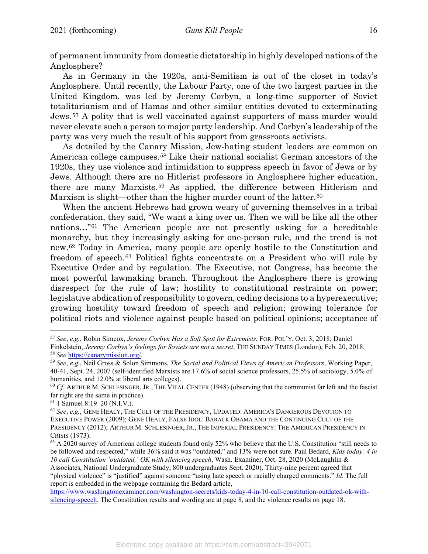of permanent immunity from domestic dictatorship in highly developed nations of the Anglosphere?

As in Germany in the 1920s, anti-Semitism is out of the closet in today's Anglosphere. Until recently, the Labour Party, one of the two largest parties in the United Kingdom, was led by Jeremy Corbyn, a long-time supporter of Soviet totalitarianism and of Hamas and other similar entities devoted to exterminating Jews.[57](#page-15-0) A polity that is well vaccinated against supporters of mass murder would never elevate such a person to major party leadership. And Corbyn's leadership of the party was very much the result of his support from grassroots activists.

As detailed by the Canary Mission, Jew-hating student leaders are common on American college campuses.<sup>[58](#page-15-1)</sup> Like their national socialist German ancestors of the 1920s, they use violence and intimidation to suppress speech in favor of Jews or by Jews. Although there are no Hitlerist professors in Anglosphere higher education, there are many Marxists.[59](#page-15-2) As applied, the difference between Hitlerism and Marxism is slight—other than the higher murder count of the latter.<sup>[60](#page-15-3)</sup>

When the ancient Hebrews had grown weary of governing themselves in a tribal confederation, they said, "We want a king over us. Then we will be like all the other nations…"[61](#page-15-4) The American people are not presently asking for a hereditable monarchy, but they increasingly asking for one-person rule, and the trend is not new.[62](#page-15-5) Today in America, many people are openly hostile to the Constitution and freedom of speech.[63](#page-15-6) Political fights concentrate on a President who will rule by Executive Order and by regulation. The Executive, not Congress, has become the most powerful lawmaking branch. Throughout the Anglosphere there is growing disrespect for the rule of law; hostility to constitutional restraints on power; legislative abdication of responsibility to govern, ceding decisions to a hyperexecutive; growing hostility toward freedom of speech and religion; growing tolerance for political riots and violence against people based on political opinions; acceptance of

"physical violence" is "justified" against someone "using hate speech or racially charged comments." *Id.* The full report is embedded in the webpage containing the Bedard article,

[https://www.washingtonexaminer.com/washington-secrets/kids-today-4-in-10-call-constitution-outdated-ok-with](https://www.washingtonexaminer.com/washington-secrets/kids-today-4-in-10-call-constitution-outdated-ok-with-silencing-speech)[silencing-speech.](https://www.washingtonexaminer.com/washington-secrets/kids-today-4-in-10-call-constitution-outdated-ok-with-silencing-speech) The Constitution results and wording are at page 8, and the violence results on page 18.

<span id="page-15-0"></span><sup>57</sup> *See*, *e.g.*, Robin Simcox, *Jeremy Corbyn Has a Soft Spot for Extremists*, FOR. POL'Y, Oct. 3, 2018; Daniel Finkelstein, *Jeremy Corbyn's feelings for Soviets are not a secret*, THE SUNDAY TIMES (London), Feb. 20, 2018. <sup>58</sup> *See* <https://canarymission.org/>*.*

<span id="page-15-2"></span><span id="page-15-1"></span><sup>59</sup> *See*, *e.g.*, Neil Gross & Solon Simmons, *The Social and Political Views of American Professors*, Working Paper, 40-41, Sept. 24, 2007 (self-identified Marxists are 17.6% of social science professors, 25.5% of sociology, 5.0% of humanities, and 12.0% at liberal arts colleges).

<span id="page-15-3"></span><sup>60</sup> *Cf.* ARTHUR M. SCHLESINGER, JR., THE VITAL CENTER (1948) (observing that the communist far left and the fascist far right are the same in practice).

<span id="page-15-4"></span><sup>61</sup> 1 Samuel 8:19–20 (N.I.V.).

<span id="page-15-5"></span><sup>62</sup> *See*, *e.g.*, GENE HEALY, THE CULT OF THE PRESIDENCY, UPDATED: AMERICA'S DANGEROUS DEVOTION TO EXECUTIVE POWER (2009); GENE HEALY, FALSE IDOL: BARACK OBAMA AND THE CONTINUING CULT OF THE PRESIDENCY (2012); ARTHUR M. SCHLESINGER, JR., THE IMPERIAL PRESIDENCY: THE AMERICAN PRESIDENCY IN CRISIS (1973).

<span id="page-15-6"></span> $63$  A 2020 survey of American college students found only 52% who believe that the U.S. Constitution "still needs to be followed and respected," while 36% said it was "outdated," and 13% were not sure. Paul Bedard, *Kids today: 4 in 10 call Constitution 'outdated,' OK with silencing speech*, Wash. Examiner, Oct. 28, 2020 (McLaughlin & Associates, National Undergraduate Study, 800 undergraduates Sept. 2020). Thirty-nine percent agreed that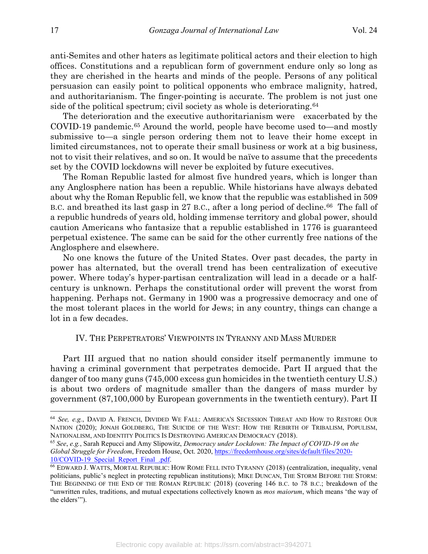anti-Semites and other haters as legitimate political actors and their election to high offices. Constitutions and a republican form of government endure only so long as they are cherished in the hearts and minds of the people. Persons of any political persuasion can easily point to political opponents who embrace malignity, hatred, and authoritarianism. The finger-pointing is accurate. The problem is not just one side of the political spectrum; civil society as whole is deteriorating.<sup>[64](#page-16-0)</sup>

The deterioration and the executive authoritarianism were exacerbated by the COVID-19 pandemic.[65](#page-16-1) Around the world, people have become used to—and mostly submissive to—a single person ordering them not to leave their home except in limited circumstances, not to operate their small business or work at a big business, not to visit their relatives, and so on. It would be naïve to assume that the precedents set by the COVID lockdowns will never be exploited by future executives.

The Roman Republic lasted for almost five hundred years, which is longer than any Anglosphere nation has been a republic. While historians have always debated about why the Roman Republic fell, we know that the republic was established in 509 B.C. and breathed its last gasp in 27 B.C., after a long period of decline.<sup>[66](#page-16-2)</sup> The fall of a republic hundreds of years old, holding immense territory and global power, should caution Americans who fantasize that a republic established in 1776 is guaranteed perpetual existence. The same can be said for the other currently free nations of the Anglosphere and elsewhere.

No one knows the future of the United States. Over past decades, the party in power has alternated, but the overall trend has been centralization of executive power. Where today's hyper-partisan centralization will lead in a decade or a halfcentury is unknown. Perhaps the constitutional order will prevent the worst from happening. Perhaps not. Germany in 1900 was a progressive democracy and one of the most tolerant places in the world for Jews; in any country, things can change a lot in a few decades.

## IV. THE PERPETRATORS' VIEWPOINTS IN TYRANNY AND MASS MURDER

Part III argued that no nation should consider itself permanently immune to having a criminal government that perpetrates democide. Part II argued that the danger of too many guns (745,000 excess gun homicides in the twentieth century U.S.) is about two orders of magnitude smaller than the dangers of mass murder by government (87,100,000 by European governments in the twentieth century). Part II

<span id="page-16-0"></span><sup>64</sup> *See, e.g.*, DAVID A. FRENCH, DIVIDED WE FALL: AMERICA'S SECESSION THREAT AND HOW TO RESTORE OUR NATION (2020); JONAH GOLDBERG, THE SUICIDE OF THE WEST: HOW THE REBIRTH OF TRIBALISM, POPULISM, NATIONALISM, AND IDENTITY POLITICS IS DESTROYING AMERICAN DEMOCRACY (2018).

<span id="page-16-1"></span><sup>65</sup> *See*, *e.g.*, Sarah Repucci and Amy Slipowitz, *Democracy under Lockdown: The Impact of COVID-19 on the Global Struggle for Freedom*, Freedom House, Oct. 2020, [https://freedomhouse.org/sites/default/files/2020-](https://freedomhouse.org/sites/default/files/2020-10/COVID-19_Special_Report_Final_.pdf) 10/COVID-19 Special Report Final .pdf.

<span id="page-16-2"></span><sup>66</sup> EDWARD J. WATTS, MORTAL REPUBLIC: HOW ROME FELL INTO TYRANNY (2018) (centralization, inequality, venal politicians, public's neglect in protecting republican institutions); MIKE DUNCAN, THE STORM BEFORE THE STORM: THE BEGINNING OF THE END OF THE ROMAN REPUBLIC (2018) (covering 146 B.C. to 78 B.C.; breakdown of the "unwritten rules, traditions, and mutual expectations collectively known as *mos maiorum*, which means 'the way of the elders'").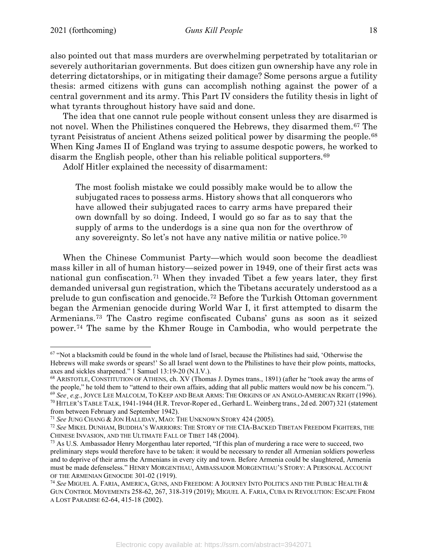also pointed out that mass murders are overwhelming perpetrated by totalitarian or severely authoritarian governments. But does citizen gun ownership have any role in deterring dictatorships, or in mitigating their damage? Some persons argue a futility thesis: armed citizens with guns can accomplish nothing against the power of a central government and its army. This Part IV considers the futility thesis in light of what tyrants throughout history have said and done.

The idea that one cannot rule people without consent unless they are disarmed is not novel. When the Philistines conquered the Hebrews, they disarmed them.[67](#page-17-0) The tyrant Peisistratus of ancient Athens seized political power by disarming the people.[68](#page-17-1) When King James II of England was trying to assume despotic powers, he worked to disarm the English people, other than his reliable political supporters.[69](#page-17-2)

Adolf Hitler explained the necessity of disarmament:

The most foolish mistake we could possibly make would be to allow the subjugated races to possess arms. History shows that all conquerors who have allowed their subjugated races to carry arms have prepared their own downfall by so doing. Indeed, I would go so far as to say that the supply of arms to the underdogs is a sine qua non for the overthrow of any sovereignty. So let's not have any native militia or native police.[70](#page-17-3)

When the Chinese Communist Party—which would soon become the deadliest mass killer in all of human history—seized power in 1949, one of their first acts was national gun confiscation.[71](#page-17-4) When they invaded Tibet a few years later, they first demanded universal gun registration, which the Tibetans accurately understood as a prelude to gun confiscation and genocide.[72](#page-17-5) Before the Turkish Ottoman government began the Armenian genocide during World War I, it first attempted to disarm the Armenians.[73](#page-17-6) The Castro regime confiscated Cubans' guns as soon as it seized power.[74](#page-17-7) The same by the Khmer Rouge in Cambodia, who would perpetrate the

<span id="page-17-0"></span><sup>&</sup>lt;sup>67</sup> "Not a blacksmith could be found in the whole land of Israel, because the Philistines had said, 'Otherwise the Hebrews will make swords or spears!' So all Israel went down to the Philistines to have their plow points, mattocks, axes and sickles sharpened." 1 Samuel 13:19-20 (N.I.V.).

<span id="page-17-2"></span><span id="page-17-1"></span><sup>68</sup> ARISTOTLE, CONSTITUTION OF ATHENS, ch. XV (Thomas J. Dymes trans., 1891) (after he "took away the arms of the people," he told them to "attend to their own affairs, adding that all public matters would now be his concern."). <sup>69</sup> *See*¸ *e.g.*, JOYCE LEE MALCOLM, TO KEEP AND BEAR ARMS: THE ORIGINS OF AN ANGLO-AMERICAN RIGHT (1996). <sup>70</sup> HITLER'S TABLE TALK, 1941-1944 (H.R. Trevor-Roper ed., Gerhard L. Weinberg trans., 2d ed. 2007) 321 (statement from between February and September 1942).

<span id="page-17-4"></span><span id="page-17-3"></span><sup>71</sup> *See* JUNG CHANG & JON HALLIDAY, MAO: THE UNKNOWN STORY 424 (2005).

<span id="page-17-5"></span><sup>72</sup> *See* MIKEL DUNHAM, BUDDHA'S WARRIORS: THE STORY OF THE CIA-BACKED TIBETAN FREEDOM FIGHTERS, THE CHINESE INVASION, AND THE ULTIMATE FALL OF TIBET 148 (2004).

<span id="page-17-6"></span><sup>&</sup>lt;sup>73</sup> As U.S. Ambassador Henry Morgenthau later reported, "If this plan of murdering a race were to succeed, two preliminary steps would therefore have to be taken: it would be necessary to render all Armenian soldiers powerless and to deprive of their arms the Armenians in every city and town. Before Armenia could be slaughtered, Armenia must be made defenseless." HENRY MORGENTHAU, AMBASSADOR MORGENTHAU'S STORY: A PERSONAL ACCOUNT OF THE ARMENIAN GENOCIDE 301-02 (1919).

<span id="page-17-7"></span><sup>74</sup> *See* MIGUEL A. FARIA, AMERICA, GUNS, AND FREEDOM: A JOURNEY INTO POLITICS AND THE PUBLIC HEALTH & GUN CONTROL MOVEMENTs 258-62, 267, 318-319 (2019); MIGUEL A. FARIA, CUBA IN REVOLUTION: ESCAPE FROM A LOST PARADISE 62-64, 415-18 (2002).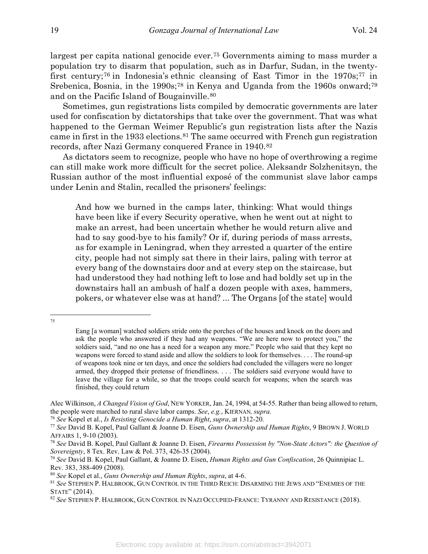largest per capita national genocide ever.[75](#page-18-0) Governments aiming to mass murder a population try to disarm that population, such as in Darfur, Sudan, in the twenty-first century;<sup>[76](#page-18-1)</sup> in Indonesia's ethnic cleansing of East Timor in the 1970s;<sup>[77](#page-18-2)</sup> in Srebenica, Bosnia, in the 1990s;<sup>[78](#page-18-3)</sup> in Kenya and Uganda from the 1960s onward;<sup>[79](#page-18-4)</sup> and on the Pacific Island of Bougainville.[80](#page-18-5)

Sometimes, gun registrations lists compiled by democratic governments are later used for confiscation by dictatorships that take over the government. That was what happened to the German Weimer Republic's gun registration lists after the Nazis came in first in the 1933 elections.[81](#page-18-6) The same occurred with French gun registration records, after Nazi Germany conquered France in 1940.[82](#page-18-7)

As dictators seem to recognize, people who have no hope of overthrowing a regime can still make work more difficult for the secret police. Aleksandr Solzhenitsyn, the Russian author of the most influential exposé of the communist slave labor camps under Lenin and Stalin, recalled the prisoners' feelings:

And how we burned in the camps later, thinking: What would things have been like if every Security operative, when he went out at night to make an arrest, had been uncertain whether he would return alive and had to say good-bye to his family? Or if, during periods of mass arrests, as for example in Leningrad, when they arrested a quarter of the entire city, people had not simply sat there in their lairs, paling with terror at every bang of the downstairs door and at every step on the staircase, but had understood they had nothing left to lose and had boldly set up in the downstairs hall an ambush of half a dozen people with axes, hammers, pokers, or whatever else was at hand? ... The Organs [of the state] would

<span id="page-18-0"></span><sup>75</sup>

Eang [a woman] watched soldiers stride onto the porches of the houses and knock on the doors and ask the people who answered if they had any weapons. "We are here now to protect you," the soldiers said, "and no one has a need for a weapon any more." People who said that they kept no weapons were forced to stand aside and allow the soldiers to look for themselves. . . . The round-up of weapons took nine or ten days, and once the soldiers had concluded the villagers were no longer armed, they dropped their pretense of friendliness. . . . The soldiers said everyone would have to leave the village for a while, so that the troops could search for weapons; when the search was finished, they could return

Alec Wilkinson, *A Changed Vision of God*, NEW YORKER, Jan. 24, 1994, at 54-55. Rather than being allowed to return, the people were marched to rural slave labor camps. *See*, *e.g.*, KIERNAN*, supra.*

<span id="page-18-1"></span><sup>76</sup> *See* Kopel et al., *Is Resisting Genocide a Human Right*, *supra*, at 1312-20.

<span id="page-18-2"></span><sup>77</sup> *See* David B. Kopel, Paul Gallant & Joanne D. Eisen, *Guns Ownership and Human Rights*, 9 BROWN J. WORLD AFFAIRS 1, 9-10 (2003).

<span id="page-18-3"></span><sup>78</sup> *See* David B. Kopel, Paul Gallant & Joanne D. Eisen, *Firearms Possession by "Non-State Actors": the Question of Sovereignty*, 8 Tex. Rev. Law & Pol. 373, 426-35 (2004).

<span id="page-18-4"></span><sup>79</sup> *See* David B. Kopel, Paul Gallant, & Joanne D. Eisen, *Human Rights and Gun Confiscation*, 26 Quinnipiac L. Rev. 383, 388-409 (2008).

<span id="page-18-5"></span><sup>80</sup> *See* Kopel et al., *Guns Ownership and Human Rights*, *supra*, at 4-6.

<span id="page-18-6"></span><sup>81</sup> *See* STEPHEN P. HALBROOK, GUN CONTROL IN THE THIRD REICH: DISARMING THE JEWS AND "ENEMIES OF THE STATE" (2014).

<span id="page-18-7"></span><sup>82</sup> *See* STEPHEN P. HALBROOK, GUN CONTROL IN NAZI OCCUPIED-FRANCE: TYRANNY AND RESISTANCE (2018).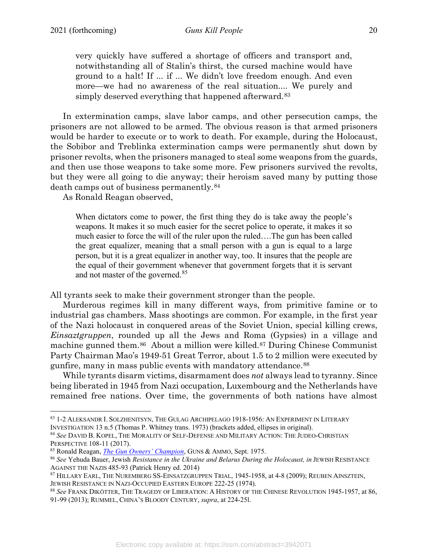very quickly have suffered a shortage of officers and transport and, notwithstanding all of Stalin's thirst, the cursed machine would have ground to a halt! If ... if ... We didn't love freedom enough. And even more—we had no awareness of the real situation.... We purely and simply deserved everything that happened afterward.<sup>[83](#page-19-0)</sup>

In extermination camps, slave labor camps, and other persecution camps, the prisoners are not allowed to be armed. The obvious reason is that armed prisoners would be harder to execute or to work to death. For example, during the Holocaust, the Sobibor and Treblinka extermination camps were permanently shut down by prisoner revolts, when the prisoners managed to steal some weapons from the guards, and then use those weapons to take some more. Few prisoners survived the revolts, but they were all going to die anyway; their heroism saved many by putting those death camps out of business permanently.[84](#page-19-1)

As Ronald Reagan observed,

When dictators come to power, the first thing they do is take away the people's weapons. It makes it so much easier for the secret police to operate, it makes it so much easier to force the will of the ruler upon the ruled….The gun has been called the great equalizer, meaning that a small person with a gun is equal to a large person, but it is a great equalizer in another way, too. It insures that the people are the equal of their government whenever that government forgets that it is servant and not master of the governed.<sup>[85](#page-19-2)</sup>

All tyrants seek to make their government stronger than the people.

Murderous regimes kill in many different ways, from primitive famine or to industrial gas chambers. Mass shootings are common. For example, in the first year of the Nazi holocaust in conquered areas of the Soviet Union, special killing crews, *Einsaztgruppen*, rounded up all the Jews and Roma (Gypsies) in a village and machine gunned them.[86](#page-19-3) About a million were killed[.87](#page-19-4) During Chinese Communist Party Chairman Mao's 1949-51 Great Terror, about 1.5 to 2 million were executed by gunfire, many in mass public events with mandatory attendance.[88](#page-19-5)

While tyrants disarm victims, disarmament does *not* always lead to tyranny. Since being liberated in 1945 from Nazi occupation, Luxembourg and the Netherlands have remained free nations. Over time, the governments of both nations have almost

<span id="page-19-0"></span><sup>83</sup> 1-2 ALEKSANDR I. SOLZHENITSYN, THE GULAG ARCHIPELAGO 1918-1956: AN EXPERIMENT IN LITERARY INVESTIGATION 13 n.5 (Thomas P. Whitney trans. 1973) (brackets added, ellipses in original).

<span id="page-19-1"></span><sup>84</sup> *See* DAVID B. KOPEL, THE MORALITY OF SELF-DEFENSE AND MILITARY ACTION: THE JUDEO-CHRISTIAN PERSPECTIVE 108-11 (2017).

<span id="page-19-2"></span><sup>85</sup> Ronald Reagan, *[The Gun Owners' Champion](https://www.freerepublic.com/focus/f-chat/3769354/posts)*, GUNS & AMMO, Sept. 1975.

<span id="page-19-3"></span><sup>86</sup> *See* Yehuda Bauer, Jewish *Resistance in the Ukraine and Belarus During the Holocaust, in* JEWISH RESISTANCE AGAINST THE NAZIS 485-93 (Patrick Henry ed. 2014)

<span id="page-19-4"></span><sup>87</sup> HILLARY EARL, THE NUREMBERG SS-EINSATZGRUPPEN TRIAL, 1945-1958, at 4-8 (2009); REUBEN AINSZTEIN, JEWISH RESISTANCE IN NAZI-OCCUPIED EASTERN EUROPE 222-25 (1974).

<span id="page-19-5"></span><sup>88</sup> *See* FRANK DIKÖTTER, THE TRAGEDY OF LIBERATION: A HISTORY OF THE CHINESE REVOLUTION 1945-1957, at 86, 91-99 (2013); RUMMEL, CHINA'S BLOODY CENTURY, *supra*, at 224-25l.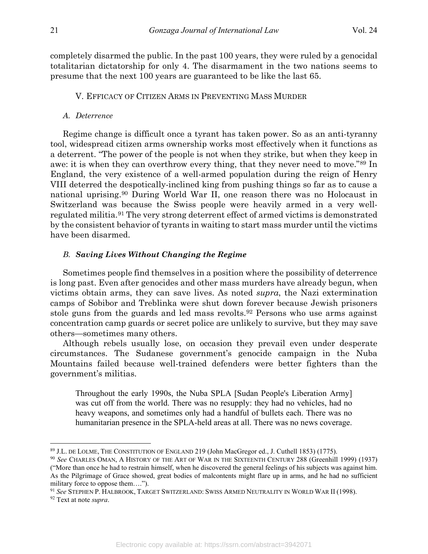completely disarmed the public. In the past 100 years, they were ruled by a genocidal totalitarian dictatorship for only 4. The disarmament in the two nations seems to presume that the next 100 years are guaranteed to be like the last 65.

## V. EFFICACY OF CITIZEN ARMS IN PREVENTING MASS MURDER

#### *A. Deterrence*

Regime change is difficult once a tyrant has taken power. So as an anti-tyranny tool, widespread citizen arms ownership works most effectively when it functions as a deterrent. "The power of the people is not when they strike, but when they keep in awe: it is when they can overthrow every thing, that they never need to move."[89](#page-20-0) In England, the very existence of a well-armed population during the reign of Henry VIII deterred the despotically-inclined king from pushing things so far as to cause a national uprising.[90](#page-20-1) During World War II, one reason there was no Holocaust in Switzerland was because the Swiss people were heavily armed in a very wellregulated militia.[91](#page-20-2) The very strong deterrent effect of armed victims is demonstrated by the consistent behavior of tyrants in waiting to start mass murder until the victims have been disarmed.

#### *B. Saving Lives Without Changing the Regime*

Sometimes people find themselves in a position where the possibility of deterrence is long past. Even after genocides and other mass murders have already begun, when victims obtain arms, they can save lives. As noted *supra*, the Nazi extermination camps of Sobibor and Treblinka were shut down forever because Jewish prisoners stole guns from the guards and led mass revolts.[92](#page-20-3) Persons who use arms against concentration camp guards or secret police are unlikely to survive, but they may save others—sometimes many others.

Although rebels usually lose, on occasion they prevail even under desperate circumstances. The Sudanese government's genocide campaign in the Nuba Mountains failed because well-trained defenders were better fighters than the government's militias.

Throughout the early 1990s, the Nuba SPLA [Sudan People's Liberation Army] was cut off from the world. There was no resupply: they had no vehicles, had no heavy weapons, and sometimes only had a handful of bullets each. There was no humanitarian presence in the SPLA-held areas at all. There was no news coverage.

<span id="page-20-0"></span><sup>89</sup> J.L. DE LOLME, THE CONSTITUTION OF ENGLAND 219 (John MacGregor ed., J. Cuthell 1853) (1775).

<span id="page-20-1"></span><sup>90</sup> *See* CHARLES OMAN, A HISTORY OF THE ART OF WAR IN THE SIXTEENTH CENTURY 288 (Greenhill 1999) (1937) ("More than once he had to restrain himself, when he discovered the general feelings of his subjects was against him. As the Pilgrimage of Grace showed, great bodies of malcontents might flare up in arms, and he had no sufficient military force to oppose them….").

<span id="page-20-2"></span><sup>91</sup> *See* STEPHEN P. HALBROOK, TARGET SWITZERLAND: SWISS ARMED NEUTRALITY IN WORLD WAR II (1998).

<span id="page-20-3"></span><sup>92</sup> Text at note *supra*.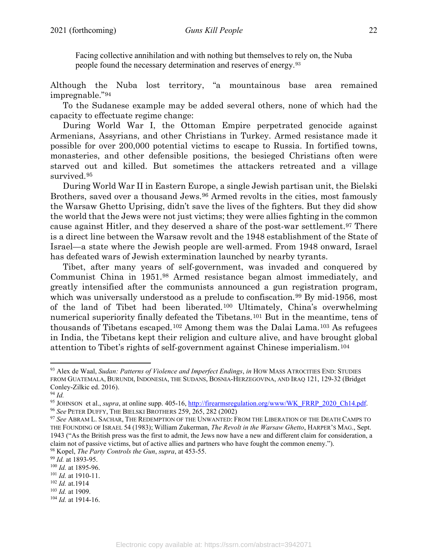Facing collective annihilation and with nothing but themselves to rely on, the Nuba people found the necessary determination and reserves of energy.[93](#page-21-0)

Although the Nuba lost territory, "a mountainous base area remained impregnable."[94](#page-21-1)

To the Sudanese example may be added several others, none of which had the capacity to effectuate regime change:

During World War I, the Ottoman Empire perpetrated genocide against Armenians, Assyrians, and other Christians in Turkey. Armed resistance made it possible for over 200,000 potential victims to escape to Russia. In fortified towns, monasteries, and other defensible positions, the besieged Christians often were starved out and killed. But sometimes the attackers retreated and a village survived.[95](#page-21-2)

During World War II in Eastern Europe, a single Jewish partisan unit, the Bielski Brothers, saved over a thousand Jews.<sup>[96](#page-21-3)</sup> Armed revolts in the cities, most famously the Warsaw Ghetto Uprising, didn't save the lives of the fighters. But they did show the world that the Jews were not just victims; they were allies fighting in the common cause against Hitler, and they deserved a share of the post-war settlement.[97](#page-21-4) There is a direct line between the Warsaw revolt and the 1948 establishment of the State of Israel—a state where the Jewish people are well-armed. From 1948 onward, Israel has defeated wars of Jewish extermination launched by nearby tyrants.

Tibet, after many years of self-government, was invaded and conquered by Communist China in 1951[.98](#page-21-5) Armed resistance began almost immediately, and greatly intensified after the communists announced a gun registration program, which was universally understood as a prelude to confiscation.<sup>[99](#page-21-6)</sup> By mid-1956, most of the land of Tibet had been liberated.[100](#page-21-7) Ultimately, China's overwhelming numerical superiority finally defeated the Tibetans.<sup>[101](#page-21-8)</sup> But in the meantime, tens of thousands of Tibetans escaped.[102](#page-21-9) Among them was the Dalai Lama.[103](#page-21-10) As refugees in India, the Tibetans kept their religion and culture alive, and have brought global attention to Tibet's rights of self-government against Chinese imperialism.[104](#page-21-11)

<span id="page-21-10"></span><sup>103</sup> *Id.* at 1909.

<span id="page-21-0"></span><sup>93</sup> Alex de Waal, *Sudan: Patterns of Violence and Imperfect Endings*, *in* HOW MASS ATROCITIES END: STUDIES FROM GUATEMALA, BURUNDI, INDONESIA, THE SUDANS, BOSNIA-HERZEGOVINA, AND IRAQ 121, 129-32 (Bridget Conley-Zilkic ed. 2016).

<span id="page-21-1"></span><sup>94</sup> *Id.*

<span id="page-21-3"></span><span id="page-21-2"></span><sup>95</sup> JOHNSON et al., *supra*, at online supp. 405-16, [http://firearmsregulation.org/www/WK\\_FRRP\\_2020\\_Ch14.pdf.](http://firearmsregulation.org/www/WK_FRRP_2020_Ch14.pdf) 96 *See* PETER DUFFY, THE BIELSKI BROTHERS 259, 265, 282 (2002)

<span id="page-21-4"></span><sup>97</sup> *See* ABRAM L. SACHAR, THE REDEMPTION OF THE UNWANTED: FROM THE LIBERATION OF THE DEATH CAMPS TO THE FOUNDING OF ISRAEL 54 (1983); William Zukerman, *The Revolt in the Warsaw Ghetto*, HARPER'S MAG., Sept. 1943 ("As the British press was the first to admit, the Jews now have a new and different claim for consideration, a claim not of passive victims, but of active allies and partners who have fought the common enemy."). <sup>98</sup> Kopel, *The Party Controls the Gun*, *supra*, at 453-55.

<span id="page-21-6"></span><span id="page-21-5"></span><sup>99</sup> *Id.* at 1893-95.

<span id="page-21-7"></span><sup>100</sup> *Id.* at 1895-96.

<span id="page-21-8"></span><sup>101</sup> *Id.* at 1910-11.

<span id="page-21-9"></span><sup>102</sup> *Id.* at.1914

<span id="page-21-11"></span><sup>104</sup> *Id.* at 1914-16.